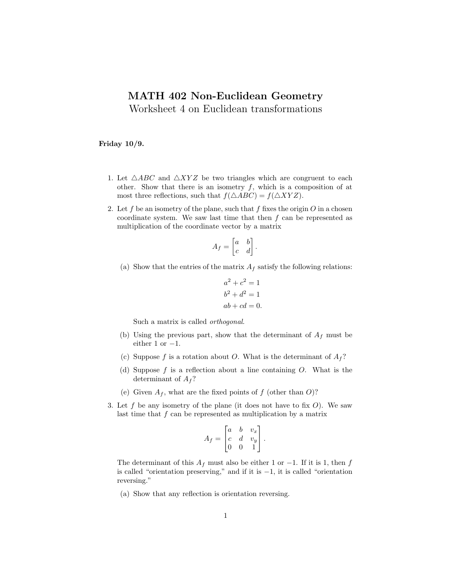## MATH 402 Non-Euclidean Geometry

Worksheet 4 on Euclidean transformations

## Friday 10/9.

- 1. Let  $\triangle ABC$  and  $\triangle XYZ$  be two triangles which are congruent to each other. Show that there is an isometry  $f$ , which is a composition of at most three reflections, such that  $f(\triangle ABC) = f(\triangle XYZ)$ .
- 2. Let f be an isometry of the plane, such that f fixes the origin  $O$  in a chosen coordinate system. We saw last time that then  $f$  can be represented as multiplication of the coordinate vector by a matrix

$$
A_f = \begin{bmatrix} a & b \\ c & d \end{bmatrix}.
$$

(a) Show that the entries of the matrix  $A_f$  satisfy the following relations:

$$
a2 + c2 = 1
$$
  

$$
b2 + d2 = 1
$$
  

$$
ab + cd = 0.
$$

Such a matrix is called orthogonal.

- (b) Using the previous part, show that the determinant of  $A_f$  must be either 1 or  $-1$ .
- (c) Suppose f is a rotation about O. What is the determinant of  $A_f$ ?
- (d) Suppose  $f$  is a reflection about a line containing  $O$ . What is the determinant of  $A_f$ ?
- (e) Given  $A_f$ , what are the fixed points of f (other than O)?
- 3. Let f be any isometry of the plane (it does not have to fix  $O$ ). We saw last time that  $f$  can be represented as multiplication by a matrix

$$
A_f = \begin{bmatrix} a & b & v_x \\ c & d & v_y \\ 0 & 0 & 1 \end{bmatrix}.
$$

The determinant of this  $A_f$  must also be either 1 or −1. If it is 1, then f is called "orientation preserving," and if it is −1, it is called "orientation reversing."

(a) Show that any reflection is orientation reversing.